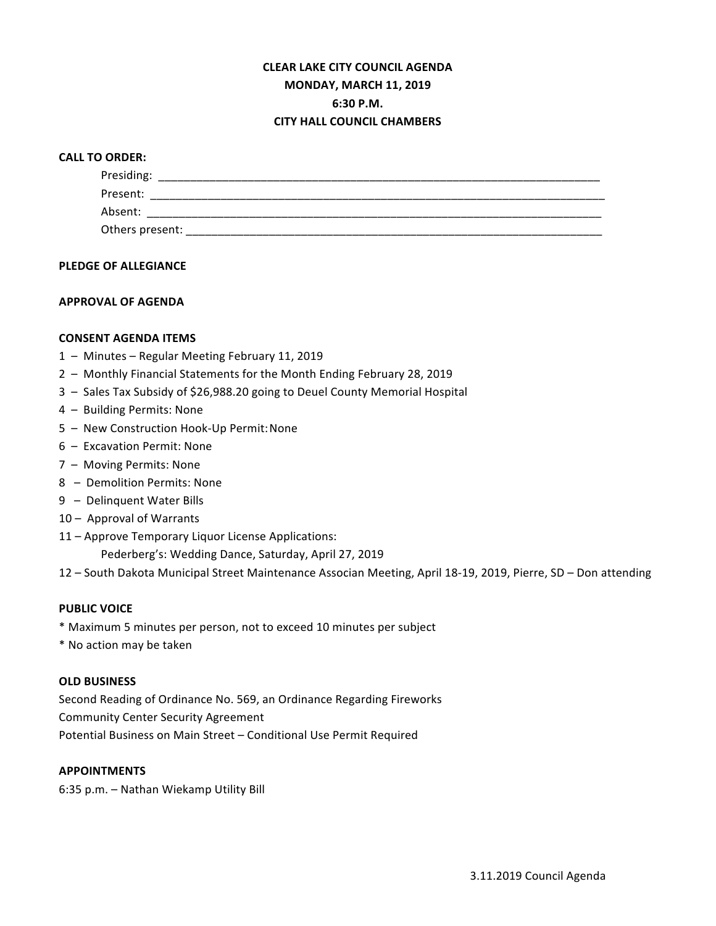# **CLEAR LAKE CITY COUNCIL AGENDA MONDAY, MARCH 11, 2019 6:30 P.M. CITY HALL COUNCIL CHAMBERS**

## **CALL TO ORDER:**

| Presiding:      |  |  |  |
|-----------------|--|--|--|
| Present:        |  |  |  |
| Absent:         |  |  |  |
| Others present: |  |  |  |

### **PLEDGE OF ALLEGIANCE**

## **APPROVAL OF AGENDA**

## **CONSENT AGENDA ITEMS**

- 1 Minutes Regular Meeting February 11, 2019
- 2 Monthly Financial Statements for the Month Ending February 28, 2019
- 3 Sales Tax Subsidy of \$26,988.20 going to Deuel County Memorial Hospital
- 4 Building Permits: None
- 5 New Construction Hook-Up Permit: None
- 6 Excavation Permit: None
- 7 Moving Permits: None
- 8 Demolition Permits: None
- 9 Delinquent Water Bills
- 10 Approval of Warrants
- 11 Approve Temporary Liquor License Applications:

Pederberg's: Wedding Dance, Saturday, April 27, 2019

12 - South Dakota Municipal Street Maintenance Associan Meeting, April 18-19, 2019, Pierre, SD - Don attending

### **PUBLIC VOICE**

- \* Maximum 5 minutes per person, not to exceed 10 minutes per subject
- \* No action may be taken

### **OLD BUSINESS**

Second Reading of Ordinance No. 569, an Ordinance Regarding Fireworks Community Center Security Agreement Potential Business on Main Street - Conditional Use Permit Required

### **APPOINTMENTS**

6:35 p.m. - Nathan Wiekamp Utility Bill